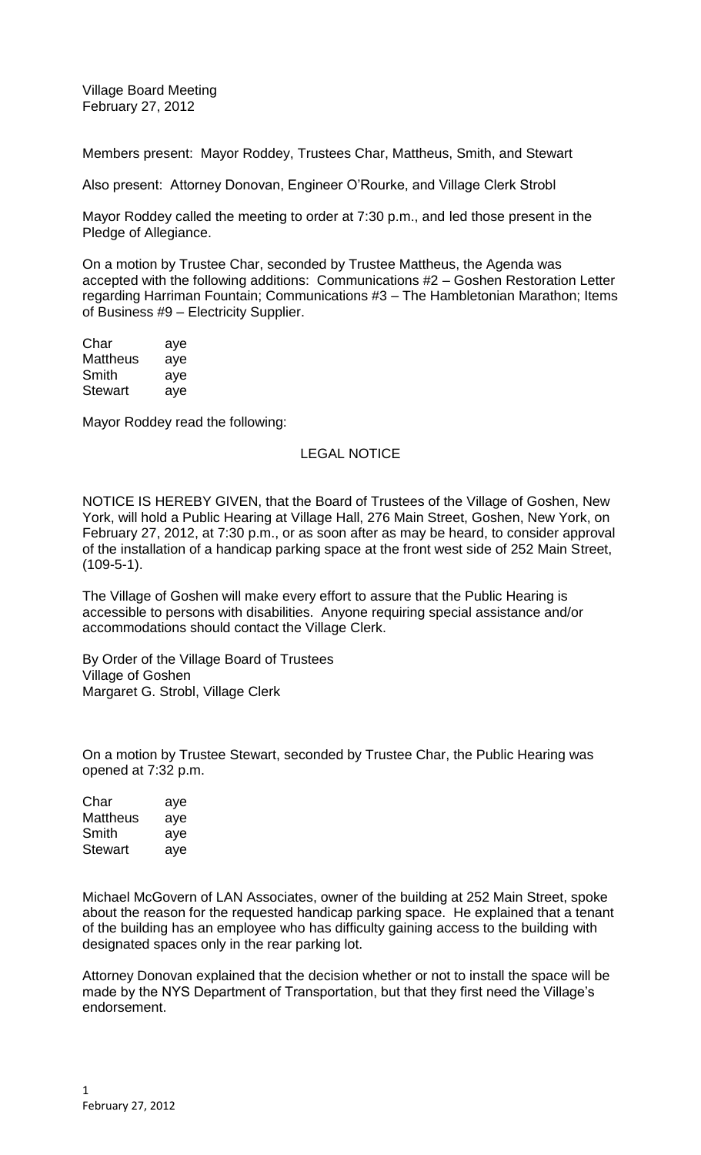Village Board Meeting February 27, 2012

Members present: Mayor Roddey, Trustees Char, Mattheus, Smith, and Stewart

Also present: Attorney Donovan, Engineer O'Rourke, and Village Clerk Strobl

Mayor Roddey called the meeting to order at 7:30 p.m., and led those present in the Pledge of Allegiance.

On a motion by Trustee Char, seconded by Trustee Mattheus, the Agenda was accepted with the following additions: Communications #2 – Goshen Restoration Letter regarding Harriman Fountain; Communications #3 – The Hambletonian Marathon; Items of Business #9 – Electricity Supplier.

| Char           | aye |
|----------------|-----|
| Mattheus       | aye |
| Smith          | aye |
| <b>Stewart</b> | aye |

Mayor Roddey read the following:

## LEGAL NOTICE

NOTICE IS HEREBY GIVEN, that the Board of Trustees of the Village of Goshen, New York, will hold a Public Hearing at Village Hall, 276 Main Street, Goshen, New York, on February 27, 2012, at 7:30 p.m., or as soon after as may be heard, to consider approval of the installation of a handicap parking space at the front west side of 252 Main Street, (109-5-1).

The Village of Goshen will make every effort to assure that the Public Hearing is accessible to persons with disabilities. Anyone requiring special assistance and/or accommodations should contact the Village Clerk.

By Order of the Village Board of Trustees Village of Goshen Margaret G. Strobl, Village Clerk

On a motion by Trustee Stewart, seconded by Trustee Char, the Public Hearing was opened at 7:32 p.m.

| Char           | aye |
|----------------|-----|
| Mattheus       | aye |
| Smith          | aye |
| <b>Stewart</b> | aye |

Michael McGovern of LAN Associates, owner of the building at 252 Main Street, spoke about the reason for the requested handicap parking space. He explained that a tenant of the building has an employee who has difficulty gaining access to the building with designated spaces only in the rear parking lot.

Attorney Donovan explained that the decision whether or not to install the space will be made by the NYS Department of Transportation, but that they first need the Village's endorsement.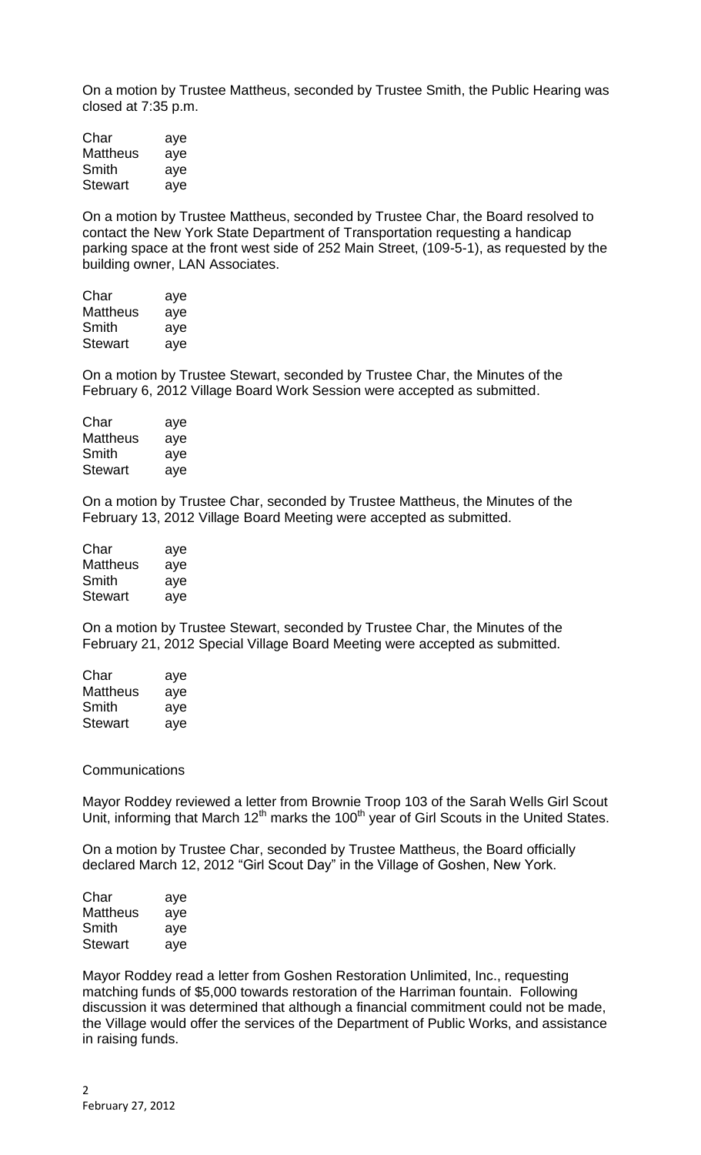On a motion by Trustee Mattheus, seconded by Trustee Smith, the Public Hearing was closed at 7:35 p.m.

| Char     | aye |
|----------|-----|
| Mattheus | aye |
| Smith    | aye |
| Stewart  | aye |

On a motion by Trustee Mattheus, seconded by Trustee Char, the Board resolved to contact the New York State Department of Transportation requesting a handicap parking space at the front west side of 252 Main Street, (109-5-1), as requested by the building owner, LAN Associates.

| Char           | aye |
|----------------|-----|
| Mattheus       | aye |
| Smith          | aye |
| <b>Stewart</b> | aye |

On a motion by Trustee Stewart, seconded by Trustee Char, the Minutes of the February 6, 2012 Village Board Work Session were accepted as submitted.

| Char            | aye |
|-----------------|-----|
| <b>Mattheus</b> | aye |
| Smith           | aye |
| Stewart         | aye |

On a motion by Trustee Char, seconded by Trustee Mattheus, the Minutes of the February 13, 2012 Village Board Meeting were accepted as submitted.

| Char     | aye |
|----------|-----|
| Mattheus | aye |
| Smith    | aye |
| Stewart  | aye |

On a motion by Trustee Stewart, seconded by Trustee Char, the Minutes of the February 21, 2012 Special Village Board Meeting were accepted as submitted.

| Char           | aye |
|----------------|-----|
| Mattheus       | aye |
| Smith          | aye |
| <b>Stewart</b> | aye |

## **Communications**

Mayor Roddey reviewed a letter from Brownie Troop 103 of the Sarah Wells Girl Scout Unit, informing that March  $12<sup>th</sup>$  marks the  $100<sup>th</sup>$  year of Girl Scouts in the United States.

On a motion by Trustee Char, seconded by Trustee Mattheus, the Board officially declared March 12, 2012 "Girl Scout Day" in the Village of Goshen, New York.

| Char     | aye |
|----------|-----|
| Mattheus | aye |
| Smith    | aye |
| Stewart  | aye |

Mayor Roddey read a letter from Goshen Restoration Unlimited, Inc., requesting matching funds of \$5,000 towards restoration of the Harriman fountain. Following discussion it was determined that although a financial commitment could not be made, the Village would offer the services of the Department of Public Works, and assistance in raising funds.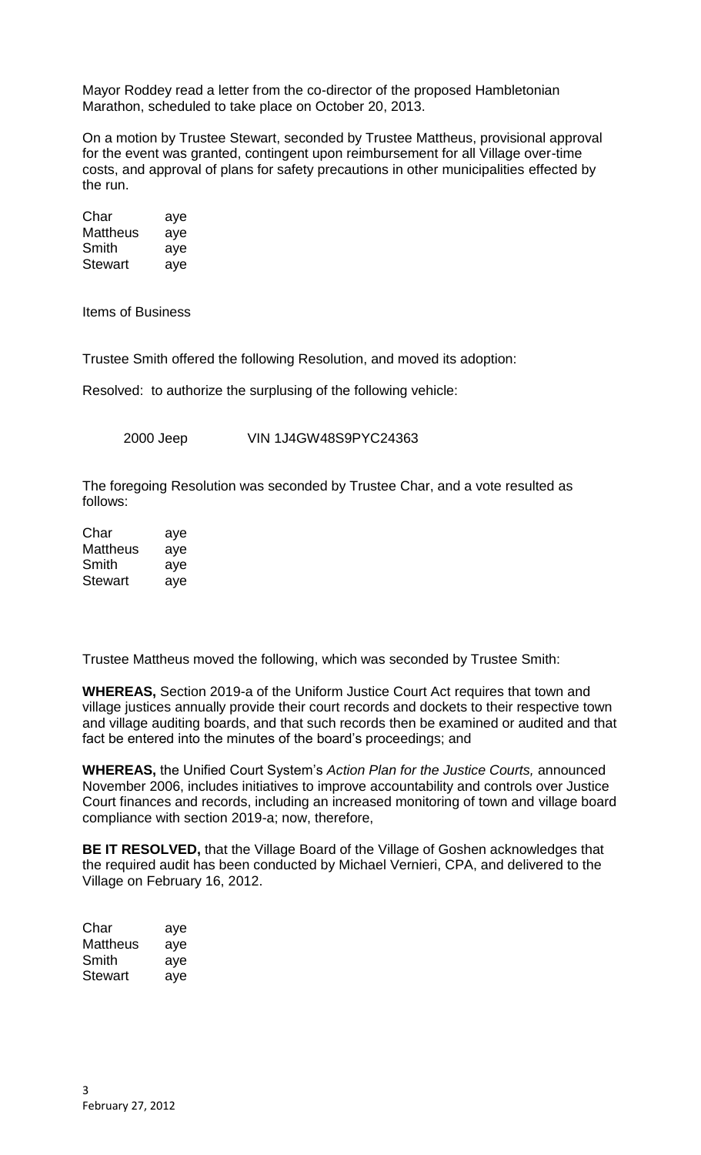Mayor Roddey read a letter from the co-director of the proposed Hambletonian Marathon, scheduled to take place on October 20, 2013.

On a motion by Trustee Stewart, seconded by Trustee Mattheus, provisional approval for the event was granted, contingent upon reimbursement for all Village over-time costs, and approval of plans for safety precautions in other municipalities effected by the run.

Char aye Mattheus aye Smith aye Stewart aye

Items of Business

Trustee Smith offered the following Resolution, and moved its adoption:

Resolved: to authorize the surplusing of the following vehicle:

2000 Jeep VIN 1J4GW48S9PYC24363

The foregoing Resolution was seconded by Trustee Char, and a vote resulted as follows:

Char aye Mattheus aye Smith aye Stewart aye

Trustee Mattheus moved the following, which was seconded by Trustee Smith:

**WHEREAS,** Section 2019-a of the Uniform Justice Court Act requires that town and village justices annually provide their court records and dockets to their respective town and village auditing boards, and that such records then be examined or audited and that fact be entered into the minutes of the board's proceedings; and

**WHEREAS,** the Unified Court System's *Action Plan for the Justice Courts,* announced November 2006, includes initiatives to improve accountability and controls over Justice Court finances and records, including an increased monitoring of town and village board compliance with section 2019-a; now, therefore,

**BE IT RESOLVED,** that the Village Board of the Village of Goshen acknowledges that the required audit has been conducted by Michael Vernieri, CPA, and delivered to the Village on February 16, 2012.

| Char     | aye |
|----------|-----|
| Mattheus | aye |
| Smith    | aye |
| Stewart  | aye |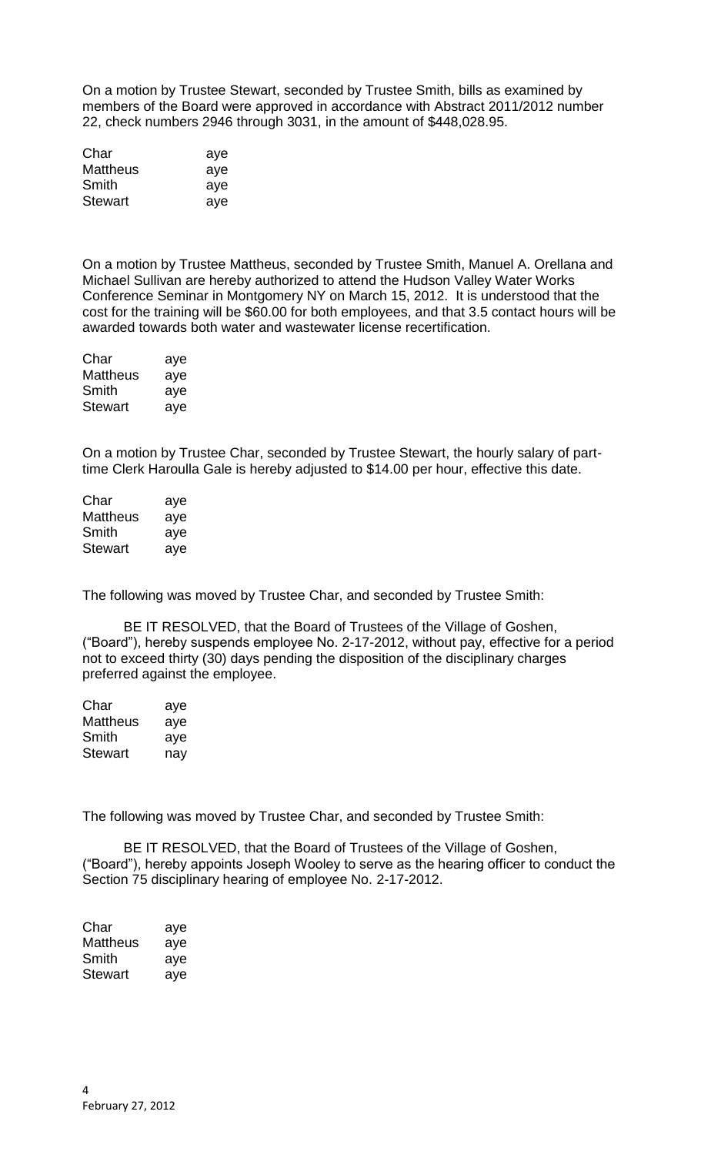On a motion by Trustee Stewart, seconded by Trustee Smith, bills as examined by members of the Board were approved in accordance with Abstract 2011/2012 number 22, check numbers 2946 through 3031, in the amount of \$448,028.95.

| aye |
|-----|
| aye |
| aye |
| aye |
|     |

On a motion by Trustee Mattheus, seconded by Trustee Smith, Manuel A. Orellana and Michael Sullivan are hereby authorized to attend the Hudson Valley Water Works Conference Seminar in Montgomery NY on March 15, 2012. It is understood that the cost for the training will be \$60.00 for both employees, and that 3.5 contact hours will be awarded towards both water and wastewater license recertification.

| Char            | aye |
|-----------------|-----|
| <b>Mattheus</b> | aye |
| Smith           | aye |
| Stewart         | aye |

On a motion by Trustee Char, seconded by Trustee Stewart, the hourly salary of parttime Clerk Haroulla Gale is hereby adjusted to \$14.00 per hour, effective this date.

| Char     | aye |
|----------|-----|
| Mattheus | aye |
| Smith    | aye |
| Stewart  | aye |

The following was moved by Trustee Char, and seconded by Trustee Smith:

BE IT RESOLVED, that the Board of Trustees of the Village of Goshen, ("Board"), hereby suspends employee No. 2-17-2012, without pay, effective for a period not to exceed thirty (30) days pending the disposition of the disciplinary charges preferred against the employee.

| Char     | aye |
|----------|-----|
| Mattheus | aye |
| Smith    | aye |
| Stewart  | nay |

The following was moved by Trustee Char, and seconded by Trustee Smith:

BE IT RESOLVED, that the Board of Trustees of the Village of Goshen, ("Board"), hereby appoints Joseph Wooley to serve as the hearing officer to conduct the Section 75 disciplinary hearing of employee No. 2-17-2012.

| Char     | aye |
|----------|-----|
| Mattheus | aye |
| Smith    | aye |
| Stewart  | aye |